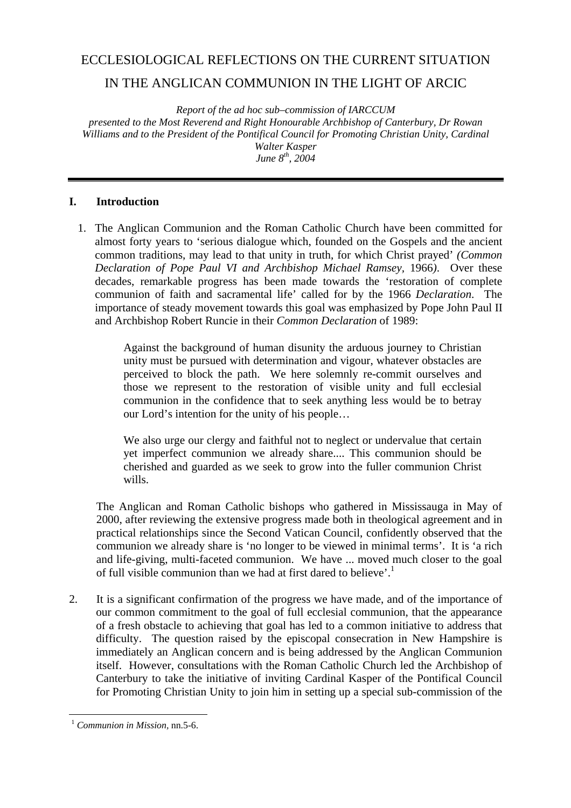# ECCLESIOLOGICAL REFLECTIONS ON THE CURRENT SITUATION

# IN THE ANGLICAN COMMUNION IN THE LIGHT OF ARCIC

*Report of the ad hoc sub–commission of IARCCUM presented to the Most Reverend and Right Honourable Archbishop of Canterbury, Dr Rowan Williams and to the President of the Pontifical Council for Promoting Christian Unity, Cardinal Walter Kasper June 8th, 2004* 

## **I. Introduction**

1. The Anglican Communion and the Roman Catholic Church have been committed for almost forty years to 'serious dialogue which, founded on the Gospels and the ancient common traditions, may lead to that unity in truth, for which Christ prayed' *(Common Declaration of Pope Paul VI and Archbishop Michael Ramsey,* 1966*)*. Over these decades, remarkable progress has been made towards the 'restoration of complete communion of faith and sacramental life' called for by the 1966 *Declaration*. The importance of steady movement towards this goal was emphasized by Pope John Paul II and Archbishop Robert Runcie in their *Common Declaration* of 1989:

> Against the background of human disunity the arduous journey to Christian unity must be pursued with determination and vigour, whatever obstacles are perceived to block the path. We here solemnly re-commit ourselves and those we represent to the restoration of visible unity and full ecclesial communion in the confidence that to seek anything less would be to betray our Lord's intention for the unity of his people…

> We also urge our clergy and faithful not to neglect or undervalue that certain yet imperfect communion we already share.... This communion should be cherished and guarded as we seek to grow into the fuller communion Christ wills.

The Anglican and Roman Catholic bishops who gathered in Mississauga in May of 2000, after reviewing the extensive progress made both in theological agreement and in practical relationships since the Second Vatican Council, confidently observed that the communion we already share is 'no longer to be viewed in minimal terms'. It is 'a rich and life-giving, multi-faceted communion. We have ... moved much closer to the goal of full visible communion than we had at first dared to believe'.1

2. It is a significant confirmation of the progress we have made, and of the importance of our common commitment to the goal of full ecclesial communion, that the appearance of a fresh obstacle to achieving that goal has led to a common initiative to address that difficulty. The question raised by the episcopal consecration in New Hampshire is immediately an Anglican concern and is being addressed by the Anglican Communion itself. However, consultations with the Roman Catholic Church led the Archbishop of Canterbury to take the initiative of inviting Cardinal Kasper of the Pontifical Council for Promoting Christian Unity to join him in setting up a special sub-commission of the

 $\overline{a}$ <sup>1</sup> *Communion in Mission,* nn.5-6.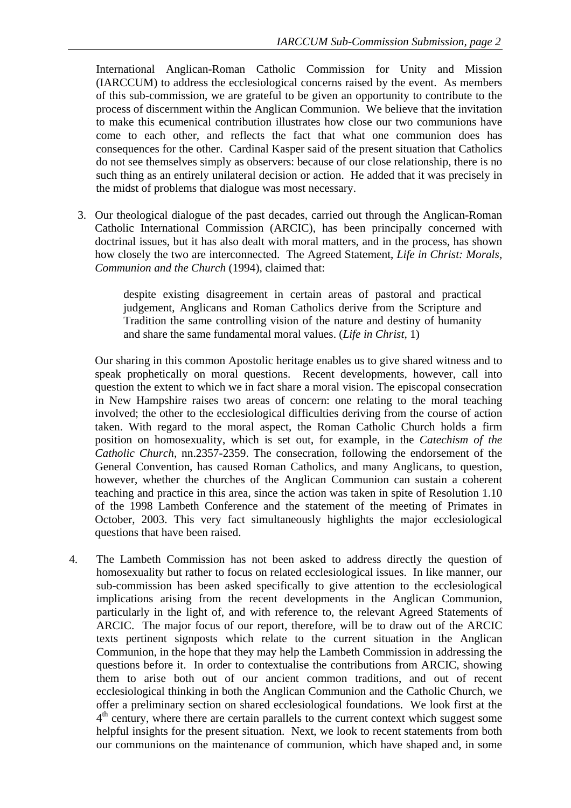International Anglican-Roman Catholic Commission for Unity and Mission (IARCCUM) to address the ecclesiological concerns raised by the event. As members of this sub-commission, we are grateful to be given an opportunity to contribute to the process of discernment within the Anglican Communion. We believe that the invitation to make this ecumenical contribution illustrates how close our two communions have come to each other, and reflects the fact that what one communion does has consequences for the other. Cardinal Kasper said of the present situation that Catholics do not see themselves simply as observers: because of our close relationship, there is no such thing as an entirely unilateral decision or action. He added that it was precisely in the midst of problems that dialogue was most necessary.

3. Our theological dialogue of the past decades, carried out through the Anglican-Roman Catholic International Commission (ARCIC), has been principally concerned with doctrinal issues, but it has also dealt with moral matters, and in the process, has shown how closely the two are interconnected. The Agreed Statement, *Life in Christ: Morals, Communion and the Church* (1994), claimed that:

> despite existing disagreement in certain areas of pastoral and practical judgement, Anglicans and Roman Catholics derive from the Scripture and Tradition the same controlling vision of the nature and destiny of humanity and share the same fundamental moral values. (*Life in Christ*, 1)

Our sharing in this common Apostolic heritage enables us to give shared witness and to speak prophetically on moral questions. Recent developments, however, call into question the extent to which we in fact share a moral vision. The episcopal consecration in New Hampshire raises two areas of concern: one relating to the moral teaching involved; the other to the ecclesiological difficulties deriving from the course of action taken. With regard to the moral aspect, the Roman Catholic Church holds a firm position on homosexuality, which is set out, for example, in the *Catechism of the Catholic Church*, nn.2357-2359. The consecration, following the endorsement of the General Convention, has caused Roman Catholics, and many Anglicans, to question, however, whether the churches of the Anglican Communion can sustain a coherent teaching and practice in this area, since the action was taken in spite of Resolution 1.10 of the 1998 Lambeth Conference and the statement of the meeting of Primates in October, 2003. This very fact simultaneously highlights the major ecclesiological questions that have been raised.

4. The Lambeth Commission has not been asked to address directly the question of homosexuality but rather to focus on related ecclesiological issues. In like manner, our sub-commission has been asked specifically to give attention to the ecclesiological implications arising from the recent developments in the Anglican Communion, particularly in the light of, and with reference to, the relevant Agreed Statements of ARCIC. The major focus of our report, therefore, will be to draw out of the ARCIC texts pertinent signposts which relate to the current situation in the Anglican Communion, in the hope that they may help the Lambeth Commission in addressing the questions before it. In order to contextualise the contributions from ARCIC, showing them to arise both out of our ancient common traditions, and out of recent ecclesiological thinking in both the Anglican Communion and the Catholic Church, we offer a preliminary section on shared ecclesiological foundations. We look first at the  $4<sup>th</sup>$  century, where there are certain parallels to the current context which suggest some helpful insights for the present situation. Next, we look to recent statements from both our communions on the maintenance of communion, which have shaped and, in some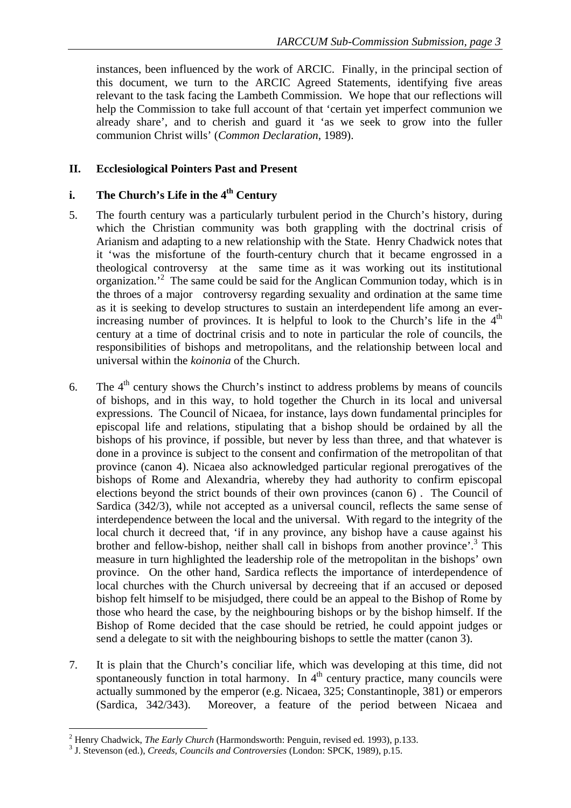instances, been influenced by the work of ARCIC. Finally, in the principal section of this document, we turn to the ARCIC Agreed Statements, identifying five areas relevant to the task facing the Lambeth Commission. We hope that our reflections will help the Commission to take full account of that 'certain yet imperfect communion we already share', and to cherish and guard it 'as we seek to grow into the fuller communion Christ wills' (*Common Declaration*, 1989).

### **II. Ecclesiological Pointers Past and Present**

# **i. The Church's Life in the 4th Century**

- 5. The fourth century was a particularly turbulent period in the Church's history, during which the Christian community was both grappling with the doctrinal crisis of Arianism and adapting to a new relationship with the State. Henry Chadwick notes that it 'was the misfortune of the fourth-century church that it became engrossed in a theological controversy at the same time as it was working out its institutional organization.<sup>2</sup> The same could be said for the Anglican Communion today, which is in the throes of a major controversy regarding sexuality and ordination at the same time as it is seeking to develop structures to sustain an interdependent life among an everincreasing number of provinces. It is helpful to look to the Church's life in the  $4<sup>th</sup>$ century at a time of doctrinal crisis and to note in particular the role of councils, the responsibilities of bishops and metropolitans, and the relationship between local and universal within the *koinonia* of the Church.
- 6. The  $4<sup>th</sup>$  century shows the Church's instinct to address problems by means of councils of bishops, and in this way, to hold together the Church in its local and universal expressions. The Council of Nicaea, for instance, lays down fundamental principles for episcopal life and relations, stipulating that a bishop should be ordained by all the bishops of his province, if possible, but never by less than three, and that whatever is done in a province is subject to the consent and confirmation of the metropolitan of that province (canon 4). Nicaea also acknowledged particular regional prerogatives of the bishops of Rome and Alexandria, whereby they had authority to confirm episcopal elections beyond the strict bounds of their own provinces (canon 6) . The Council of Sardica (342/3), while not accepted as a universal council, reflects the same sense of interdependence between the local and the universal. With regard to the integrity of the local church it decreed that, 'if in any province, any bishop have a cause against his brother and fellow-bishop, neither shall call in bishops from another province'.<sup>3</sup> This measure in turn highlighted the leadership role of the metropolitan in the bishops' own province. On the other hand, Sardica reflects the importance of interdependence of local churches with the Church universal by decreeing that if an accused or deposed bishop felt himself to be misjudged, there could be an appeal to the Bishop of Rome by those who heard the case, by the neighbouring bishops or by the bishop himself. If the Bishop of Rome decided that the case should be retried, he could appoint judges or send a delegate to sit with the neighbouring bishops to settle the matter (canon 3).
- 7. It is plain that the Church's conciliar life, which was developing at this time, did not spontaneously function in total harmony. In  $4<sup>th</sup>$  century practice, many councils were actually summoned by the emperor (e.g. Nicaea, 325; Constantinople, 381) or emperors (Sardica, 342/343). Moreover, a feature of the period between Nicaea and

 $\overline{a}$ <sup>2</sup> Henry Chadwick, *The Early Church* (Harmondsworth: Penguin, revised ed. 1993), p.133.  $\frac{3}{3}$  J. Stavenson (ed.), *Croosle, Councils and Controversies* (London: SPCK, 1989), p.15

<sup>&</sup>lt;sup>3</sup> J. Stevenson (ed.), *Creeds, Councils and Controversies* (London: SPCK, 1989), p.15.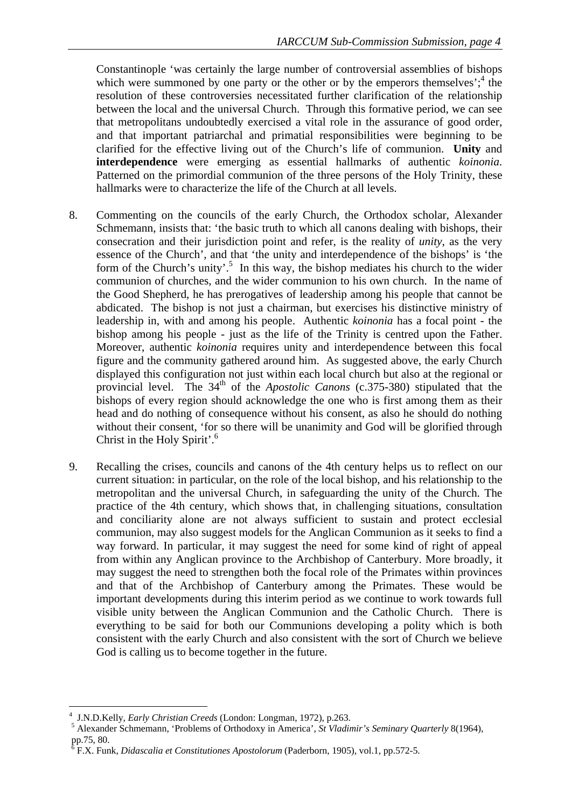Constantinople 'was certainly the large number of controversial assemblies of bishops which were summoned by one party or the other or by the emperors themselves'; $4$  the resolution of these controversies necessitated further clarification of the relationship between the local and the universal Church. Through this formative period, we can see that metropolitans undoubtedly exercised a vital role in the assurance of good order, and that important patriarchal and primatial responsibilities were beginning to be clarified for the effective living out of the Church's life of communion. **Unity** and **interdependence** were emerging as essential hallmarks of authentic *koinonia*. Patterned on the primordial communion of the three persons of the Holy Trinity, these hallmarks were to characterize the life of the Church at all levels.

- 8. Commenting on the councils of the early Church, the Orthodox scholar, Alexander Schmemann, insists that: 'the basic truth to which all canons dealing with bishops, their consecration and their jurisdiction point and refer, is the reality of *unity*, as the very essence of the Church', and that 'the unity and interdependence of the bishops' is 'the form of the Church's unity'.<sup>5</sup> In this way, the bishop mediates his church to the wider communion of churches, and the wider communion to his own church. In the name of the Good Shepherd, he has prerogatives of leadership among his people that cannot be abdicated. The bishop is not just a chairman, but exercises his distinctive ministry of leadership in, with and among his people. Authentic *koinonia* has a focal point - the bishop among his people *-* just as the life of the Trinity is centred upon the Father. Moreover, authentic *koinonia* requires unity and interdependence between this focal figure and the community gathered around him. As suggested above, the early Church displayed this configuration not just within each local church but also at the regional or provincial level. The 34<sup>th</sup> of the *Apostolic Canons* (c.375-380) stipulated that the bishops of every region should acknowledge the one who is first among them as their head and do nothing of consequence without his consent, as also he should do nothing without their consent, 'for so there will be unanimity and God will be glorified through Christ in the Holy Spirit'.<sup>6</sup>
- 9. Recalling the crises, councils and canons of the 4th century helps us to reflect on our current situation: in particular, on the role of the local bishop, and his relationship to the metropolitan and the universal Church, in safeguarding the unity of the Church. The practice of the 4th century, which shows that, in challenging situations, consultation and conciliarity alone are not always sufficient to sustain and protect ecclesial communion, may also suggest models for the Anglican Communion as it seeks to find a way forward. In particular, it may suggest the need for some kind of right of appeal from within any Anglican province to the Archbishop of Canterbury. More broadly, it may suggest the need to strengthen both the focal role of the Primates within provinces and that of the Archbishop of Canterbury among the Primates. These would be important developments during this interim period as we continue to work towards full visible unity between the Anglican Communion and the Catholic Church. There is everything to be said for both our Communions developing a polity which is both consistent with the early Church and also consistent with the sort of Church we believe God is calling us to become together in the future.

 $\overline{a}$ <sup>4</sup> J.N.D.Kelly, *Early Christian Creeds* (London: Longman, 1972), p.263.

Alexander Schmemann, 'Problems of Orthodoxy in America', *St Vladimir's Seminary Quarterly* 8(1964), pp.75, 80.<br><sup>6</sup> E Y Eur

F.X. Funk, *Didascalia et Constitutiones Apostolorum* (Paderborn, 1905), vol.1, pp.572-5.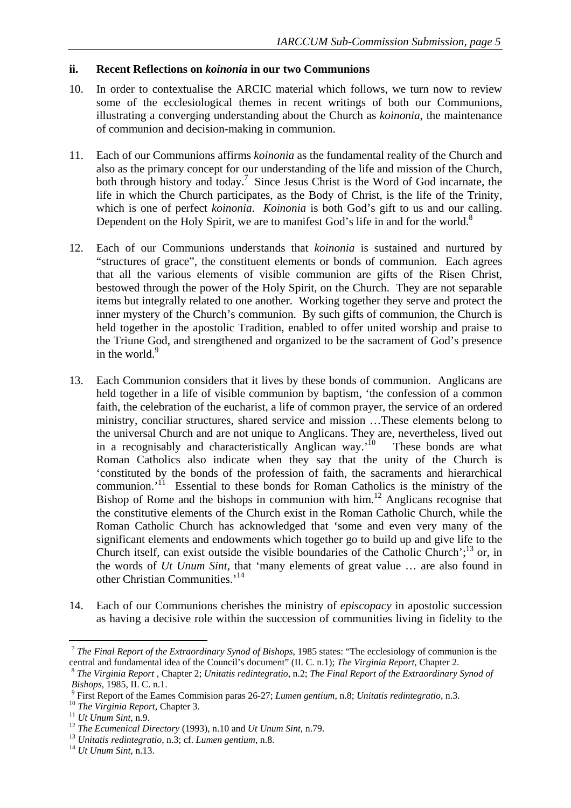#### **ii. Recent Reflections on** *koinonia* **in our two Communions**

- 10. In order to contextualise the ARCIC material which follows, we turn now to review some of the ecclesiological themes in recent writings of both our Communions, illustrating a converging understanding about the Church as *koinonia,* the maintenance of communion and decision-making in communion.
- 11. Each of our Communions affirms *koinonia* as the fundamental reality of the Church and also as the primary concept for our understanding of the life and mission of the Church, both through history and today.<sup>7</sup> Since Jesus Christ is the Word of God incarnate, the life in which the Church participates, as the Body of Christ, is the life of the Trinity, which is one of perfect *koinonia*. *Koinonia* is both God's gift to us and our calling. Dependent on the Holy Spirit, we are to manifest God's life in and for the world.<sup>8</sup>
- 12. Each of our Communions understands that *koinonia* is sustained and nurtured by "structures of grace", the constituent elements or bonds of communion. Each agrees that all the various elements of visible communion are gifts of the Risen Christ, bestowed through the power of the Holy Spirit, on the Church. They are not separable items but integrally related to one another. Working together they serve and protect the inner mystery of the Church's communion. By such gifts of communion, the Church is held together in the apostolic Tradition, enabled to offer united worship and praise to the Triune God, and strengthened and organized to be the sacrament of God's presence in the world. $9$
- 13. Each Communion considers that it lives by these bonds of communion. Anglicans are held together in a life of visible communion by baptism, 'the confession of a common faith, the celebration of the eucharist, a life of common prayer, the service of an ordered ministry, conciliar structures, shared service and mission …These elements belong to the universal Church and are not unique to Anglicans. They are, nevertheless, lived out in a recognisably and characteristically Anglican way.<sup> $10$ </sup> These bonds are what Roman Catholics also indicate when they say that the unity of the Church is 'constituted by the bonds of the profession of faith, the sacraments and hierarchical communion.'11 Essential to these bonds for Roman Catholics is the ministry of the Bishop of Rome and the bishops in communion with him.<sup>12</sup> Anglicans recognise that the constitutive elements of the Church exist in the Roman Catholic Church, while the Roman Catholic Church has acknowledged that 'some and even very many of the significant elements and endowments which together go to build up and give life to the Church itself, can exist outside the visible boundaries of the Catholic Church';<sup>13</sup> or, in the words of *Ut Unum Sint,* that 'many elements of great value … are also found in other Christian Communities.'14
- 14. Each of our Communions cherishes the ministry of *episcopacy* in apostolic succession as having a decisive role within the succession of communities living in fidelity to the

<sup>&</sup>lt;sup>7</sup> *The Final Report of the Extraordinary Synod of Bishops*, 1985 states: "The ecclesiology of communion is the central and fundamental idea of the Council's document" (II. C. n.1); *The Virginia Report*, Chapter 2.

 $8$  The Virginia Report, Chapter 2; Unitatis redintegratio, n.2; The Final Report of the Extraordinary Synod of *Bishops*, 1985, II. C. n.1.<br><sup>9</sup> First Penert of the Fem

<sup>&</sup>lt;sup>9</sup> First Report of the Eames Commision paras 26-27; *Lumen gentium*, n.8; *Unitatis redintegratio*, n.3.<br><sup>10</sup> The Virginia Report, Chapter 3.<br><sup>11</sup> *Ut Unum Sint*, n.9.<br><sup>12</sup> The Ecumenical Directory (1993), n.10 and *Ut U*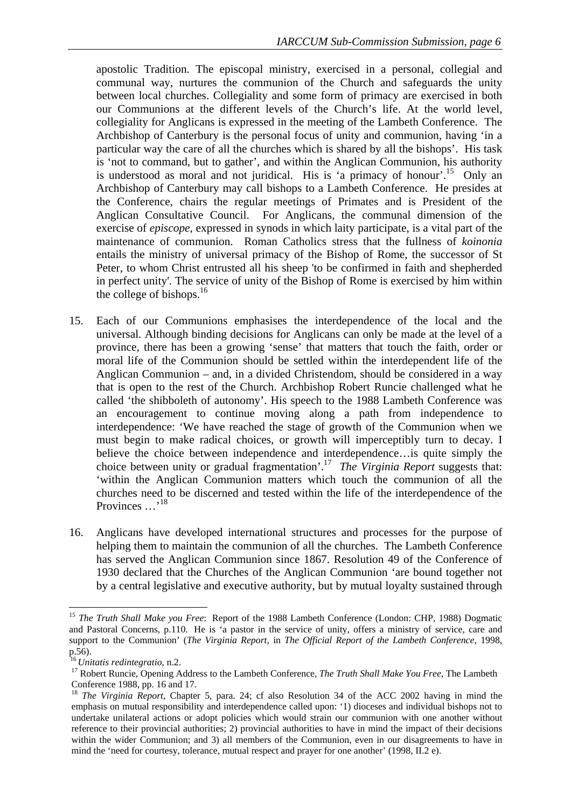apostolic Tradition. The episcopal ministry, exercised in a personal, collegial and communal way, nurtures the communion of the Church and safeguards the unity between local churches. Collegiality and some form of primacy are exercised in both our Communions at the different levels of the Church's life. At the world level, collegiality for Anglicans is expressed in the meeting of the Lambeth Conference. The Archbishop of Canterbury is the personal focus of unity and communion, having 'in a particular way the care of all the churches which is shared by all the bishops'. His task is 'not to command, but to gather', and within the Anglican Communion, his authority is understood as moral and not juridical. His is 'a primacy of honour'.<sup>15</sup> Only an Archbishop of Canterbury may call bishops to a Lambeth Conference. He presides at the Conference, chairs the regular meetings of Primates and is President of the Anglican Consultative Council. For Anglicans, the communal dimension of the exercise of *episcope*, expressed in synods in which laity participate, is a vital part of the maintenance of communion. Roman Catholics stress that the fullness of *koinonia* entails the ministry of universal primacy of the Bishop of Rome, the successor of St Peter, to whom Christ entrusted all his sheep 'to be confirmed in faith and shepherded in perfect unity'. The service of unity of the Bishop of Rome is exercised by him within the college of bishops.<sup>16</sup>

- 15. Each of our Communions emphasises the interdependence of the local and the universal. Although binding decisions for Anglicans can only be made at the level of a province, there has been a growing 'sense' that matters that touch the faith, order or moral life of the Communion should be settled within the interdependent life of the Anglican Communion – and, in a divided Christendom, should be considered in a way that is open to the rest of the Church. Archbishop Robert Runcie challenged what he called 'the shibboleth of autonomy'. His speech to the 1988 Lambeth Conference was an encouragement to continue moving along a path from independence to interdependence: 'We have reached the stage of growth of the Communion when we must begin to make radical choices, or growth will imperceptibly turn to decay. I believe the choice between independence and interdependence…is quite simply the choice between unity or gradual fragmentation'.17 *The Virginia Report* suggests that: 'within the Anglican Communion matters which touch the communion of all the churches need to be discerned and tested within the life of the interdependence of the Provinces ...<sup>18</sup>
- 16. Anglicans have developed international structures and processes for the purpose of helping them to maintain the communion of all the churches. The Lambeth Conference has served the Anglican Communion since 1867. Resolution 49 of the Conference of 1930 declared that the Churches of the Anglican Communion 'are bound together not by a central legislative and executive authority, but by mutual loyalty sustained through

<sup>&</sup>lt;sup>15</sup> The Truth Shall Make you Free: Report of the 1988 Lambeth Conference (London: CHP, 1988) Dogmatic and Pastoral Concerns, p.110. He is 'a pastor in the service of unity, offers a ministry of service, care and support to the Communion' (*The Virginia Report*, in *The Official Report of the Lambeth Conference*, 1998, p.56).<br><sup>16</sup> Unitatis redintegratio, n.2.

<sup>&</sup>lt;sup>17</sup> Robert Runcie, Opening Address to the Lambeth Conference, *The Truth Shall Make You Free*, The Lambeth Conference 1988, pp. 16 and 17.

<sup>18</sup> *The Virginia Report,* Chapter 5, para. 24; cf also Resolution 34 of the ACC 2002 having in mind the emphasis on mutual responsibility and interdependence called upon: '1) dioceses and individual bishops not to undertake unilateral actions or adopt policies which would strain our communion with one another without reference to their provincial authorities; 2) provincial authorities to have in mind the impact of their decisions within the wider Communion; and 3) all members of the Communion, even in our disagreements to have in mind the 'need for courtesy, tolerance, mutual respect and prayer for one another' (1998, II.2 e).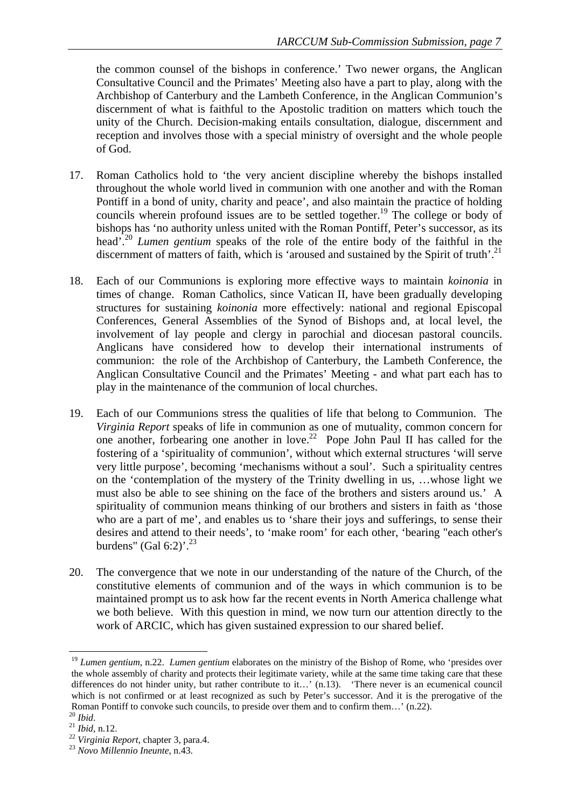the common counsel of the bishops in conference.' Two newer organs, the Anglican Consultative Council and the Primates' Meeting also have a part to play, along with the Archbishop of Canterbury and the Lambeth Conference, in the Anglican Communion's discernment of what is faithful to the Apostolic tradition on matters which touch the unity of the Church. Decision-making entails consultation, dialogue, discernment and reception and involves those with a special ministry of oversight and the whole people of God.

- 17. Roman Catholics hold to 'the very ancient discipline whereby the bishops installed throughout the whole world lived in communion with one another and with the Roman Pontiff in a bond of unity, charity and peace', and also maintain the practice of holding councils wherein profound issues are to be settled together.<sup>19</sup> The college or body of bishops has 'no authority unless united with the Roman Pontiff, Peter's successor, as its head'.20 *Lumen gentium* speaks of the role of the entire body of the faithful in the discernment of matters of faith, which is 'aroused and sustained by the Spirit of truth'.<sup>21</sup>
- 18. Each of our Communions is exploring more effective ways to maintain *koinonia* in times of change. Roman Catholics, since Vatican II, have been gradually developing structures for sustaining *koinonia* more effectively: national and regional Episcopal Conferences, General Assemblies of the Synod of Bishops and, at local level, the involvement of lay people and clergy in parochial and diocesan pastoral councils. Anglicans have considered how to develop their international instruments of communion: the role of the Archbishop of Canterbury, the Lambeth Conference, the Anglican Consultative Council and the Primates' Meeting - and what part each has to play in the maintenance of the communion of local churches.
- 19. Each of our Communions stress the qualities of life that belong to Communion. The *Virginia Report* speaks of life in communion as one of mutuality, common concern for one another, forbearing one another in love.<sup>22</sup> Pope John Paul II has called for the fostering of a 'spirituality of communion', without which external structures 'will serve very little purpose', becoming 'mechanisms without a soul'. Such a spirituality centres on the 'contemplation of the mystery of the Trinity dwelling in us, …whose light we must also be able to see shining on the face of the brothers and sisters around us.' A spirituality of communion means thinking of our brothers and sisters in faith as 'those who are a part of me', and enables us to 'share their joys and sufferings, to sense their desires and attend to their needs', to 'make room' for each other, 'bearing "each other's burdens" (Gal 6:2)<sup>'.23</sup>
- 20. The convergence that we note in our understanding of the nature of the Church, of the constitutive elements of communion and of the ways in which communion is to be maintained prompt us to ask how far the recent events in North America challenge what we both believe. With this question in mind, we now turn our attention directly to the work of ARCIC, which has given sustained expression to our shared belief.

<sup>19</sup> *Lumen gentium*, n.22. *Lumen gentium* elaborates on the ministry of the Bishop of Rome, who 'presides over the whole assembly of charity and protects their legitimate variety, while at the same time taking care that these differences do not hinder unity, but rather contribute to it…' (n.13). 'There never is an ecumenical council which is not confirmed or at least recognized as such by Peter's successor. And it is the prerogative of the Roman Pontiff to convoke such councils, to preside over them and to confirm them...' (n.22).<br><sup>20</sup> *Ibid.* 

<sup>20</sup> *Ibid*. <sup>21</sup> *Ibid,* n.12. <sup>22</sup> *Virginia Report,* chapter 3, para.4. <sup>23</sup> *Novo Millennio Ineunte*, n.43.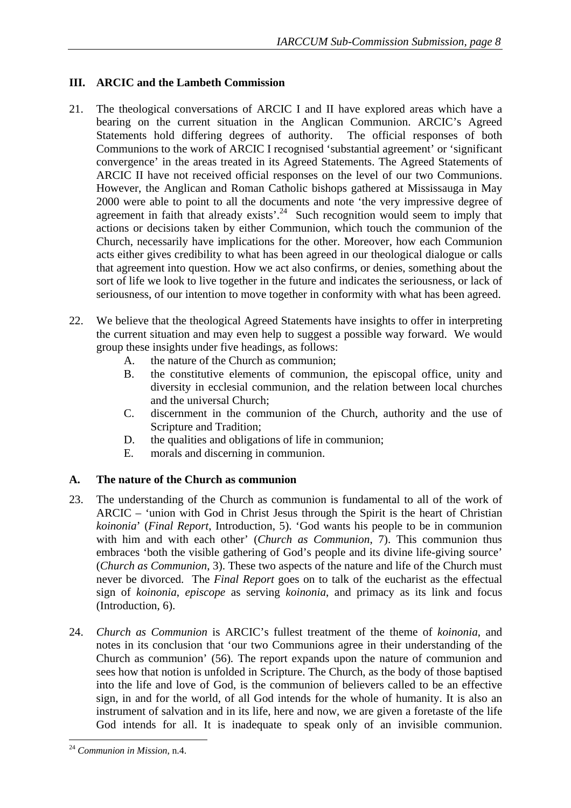# **III. ARCIC and the Lambeth Commission**

- 21. The theological conversations of ARCIC I and II have explored areas which have a bearing on the current situation in the Anglican Communion. ARCIC's Agreed Statements hold differing degrees of authority. The official responses of both Communions to the work of ARCIC I recognised 'substantial agreement' or 'significant convergence' in the areas treated in its Agreed Statements. The Agreed Statements of ARCIC II have not received official responses on the level of our two Communions. However, the Anglican and Roman Catholic bishops gathered at Mississauga in May 2000 were able to point to all the documents and note 'the very impressive degree of agreement in faith that already exists'.<sup>24</sup> Such recognition would seem to imply that actions or decisions taken by either Communion, which touch the communion of the Church, necessarily have implications for the other. Moreover, how each Communion acts either gives credibility to what has been agreed in our theological dialogue or calls that agreement into question. How we act also confirms, or denies, something about the sort of life we look to live together in the future and indicates the seriousness, or lack of seriousness, of our intention to move together in conformity with what has been agreed.
- 22. We believe that the theological Agreed Statements have insights to offer in interpreting the current situation and may even help to suggest a possible way forward. We would group these insights under five headings, as follows:
	- A. the nature of the Church as communion;
	- B. the constitutive elements of communion, the episcopal office, unity and diversity in ecclesial communion, and the relation between local churches and the universal Church;
	- C. discernment in the communion of the Church, authority and the use of Scripture and Tradition;
	- D. the qualities and obligations of life in communion;
	- E. morals and discerning in communion.

# **A. The nature of the Church as communion**

- 23. The understanding of the Church as communion is fundamental to all of the work of ARCIC – 'union with God in Christ Jesus through the Spirit is the heart of Christian *koinonia*' (*Final Report*, Introduction, 5). 'God wants his people to be in communion with him and with each other' (*Church as Communion*, 7). This communion thus embraces 'both the visible gathering of God's people and its divine life-giving source' (*Church as Communion*, 3). These two aspects of the nature and life of the Church must never be divorced. The *Final Report* goes on to talk of the eucharist as the effectual sign of *koinonia*, *episcope* as serving *koinonia*, and primacy as its link and focus (Introduction, 6).
- 24. *Church as Communion* is ARCIC's fullest treatment of the theme of *koinonia*, and notes in its conclusion that 'our two Communions agree in their understanding of the Church as communion' (56)*.* The report expands upon the nature of communion and sees how that notion is unfolded in Scripture. The Church, as the body of those baptised into the life and love of God, is the communion of believers called to be an effective sign, in and for the world, of all God intends for the whole of humanity. It is also an instrument of salvation and in its life, here and now, we are given a foretaste of the life God intends for all. It is inadequate to speak only of an invisible communion.

 $\overline{a}$ <sup>24</sup> *Communion in Mission*, n.4.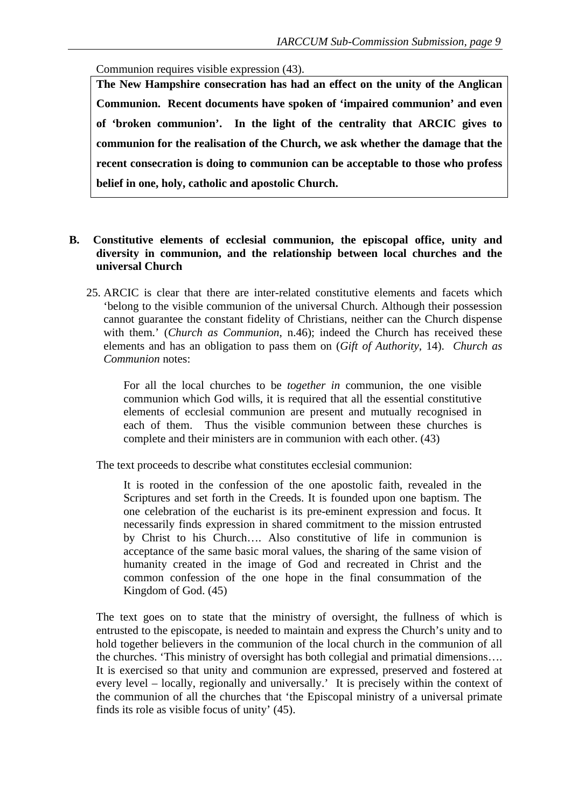Communion requires visible expression (43).

**The New Hampshire consecration has had an effect on the unity of the Anglican Communion. Recent documents have spoken of 'impaired communion' and even of 'broken communion'. In the light of the centrality that ARCIC gives to communion for the realisation of the Church, we ask whether the damage that the recent consecration is doing to communion can be acceptable to those who profess belief in one, holy, catholic and apostolic Church.** 

#### **B. Constitutive elements of ecclesial communion, the episcopal office, unity and diversity in communion, and the relationship between local churches and the universal Church**

25. ARCIC is clear that there are inter-related constitutive elements and facets which 'belong to the visible communion of the universal Church. Although their possession cannot guarantee the constant fidelity of Christians, neither can the Church dispense with them.' *(Church as Communion, n.46)*; indeed the Church has received these elements and has an obligation to pass them on (*Gift of Authority*, 14). *Church as Communion* notes:

For all the local churches to be *together in* communion, the one visible communion which God wills, it is required that all the essential constitutive elements of ecclesial communion are present and mutually recognised in each of them. Thus the visible communion between these churches is complete and their ministers are in communion with each other. (43)

The text proceeds to describe what constitutes ecclesial communion:

It is rooted in the confession of the one apostolic faith, revealed in the Scriptures and set forth in the Creeds. It is founded upon one baptism. The one celebration of the eucharist is its pre-eminent expression and focus. It necessarily finds expression in shared commitment to the mission entrusted by Christ to his Church…. Also constitutive of life in communion is acceptance of the same basic moral values, the sharing of the same vision of humanity created in the image of God and recreated in Christ and the common confession of the one hope in the final consummation of the Kingdom of God. (45)

The text goes on to state that the ministry of oversight, the fullness of which is entrusted to the episcopate, is needed to maintain and express the Church's unity and to hold together believers in the communion of the local church in the communion of all the churches. 'This ministry of oversight has both collegial and primatial dimensions…. It is exercised so that unity and communion are expressed, preserved and fostered at every level – locally, regionally and universally.' It is precisely within the context of the communion of all the churches that 'the Episcopal ministry of a universal primate finds its role as visible focus of unity' (45).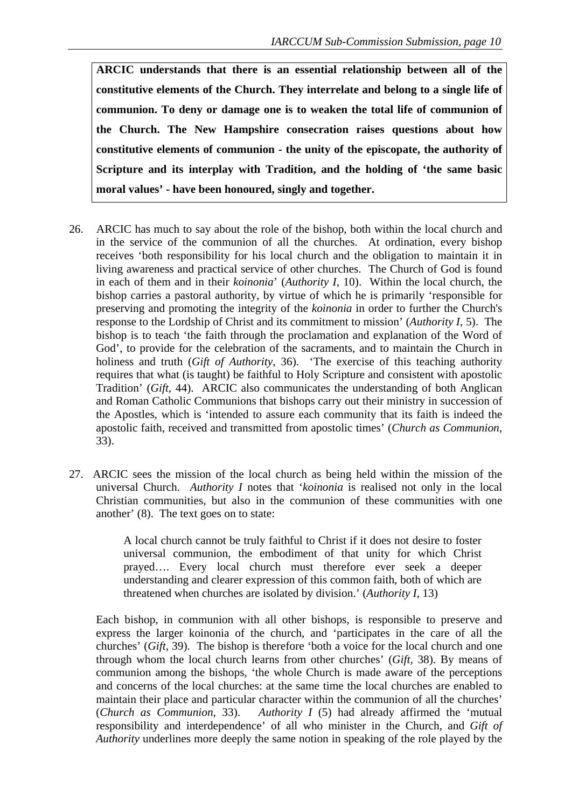**ARCIC understands that there is an essential relationship between all of the constitutive elements of the Church. They interrelate and belong to a single life of communion. To deny or damage one is to weaken the total life of communion of the Church. The New Hampshire consecration raises questions about how constitutive elements of communion - the unity of the episcopate, the authority of Scripture and its interplay with Tradition, and the holding of 'the same basic moral values' - have been honoured, singly and together.** 

- 26. ARCIC has much to say about the role of the bishop, both within the local church and in the service of the communion of all the churches. At ordination, every bishop receives 'both responsibility for his local church and the obligation to maintain it in living awareness and practical service of other churches. The Church of God is found in each of them and in their *koinonia*' (*Authority I*, 10). Within the local church, the bishop carries a pastoral authority, by virtue of which he is primarily 'responsible for preserving and promoting the integrity of the *koinonia* in order to further the Church's response to the Lordship of Christ and its commitment to mission' (*Authority I*, 5). The bishop is to teach 'the faith through the proclamation and explanation of the Word of God', to provide for the celebration of the sacraments, and to maintain the Church in holiness and truth (*Gift of Authority*, 36). 'The exercise of this teaching authority requires that what (is taught) be faithful to Holy Scripture and consistent with apostolic Tradition' (*Gift*, 44). ARCIC also communicates the understanding of both Anglican and Roman Catholic Communions that bishops carry out their ministry in succession of the Apostles, which is 'intended to assure each community that its faith is indeed the apostolic faith, received and transmitted from apostolic times' (*Church as Communion*, 33).
- 27. ARCIC sees the mission of the local church as being held within the mission of the universal Church. *Authority I* notes that '*koinonia* is realised not only in the local Christian communities, but also in the communion of these communities with one another' (8). The text goes on to state:

A local church cannot be truly faithful to Christ if it does not desire to foster universal communion, the embodiment of that unity for which Christ prayed…. Every local church must therefore ever seek a deeper understanding and clearer expression of this common faith, both of which are threatened when churches are isolated by division.' (*Authority I*, 13)

Each bishop, in communion with all other bishops, is responsible to preserve and express the larger koinonia of the church, and 'participates in the care of all the churches' (*Gift*, 39). The bishop is therefore 'both a voice for the local church and one through whom the local church learns from other churches' (*Gift*, 38). By means of communion among the bishops, 'the whole Church is made aware of the perceptions and concerns of the local churches: at the same time the local churches are enabled to maintain their place and particular character within the communion of all the churches' (*Church as Communion*, 33). *Authority I* (5) had already affirmed the 'mutual responsibility and interdependence' of all who minister in the Church, and *Gift of Authority* underlines more deeply the same notion in speaking of the role played by the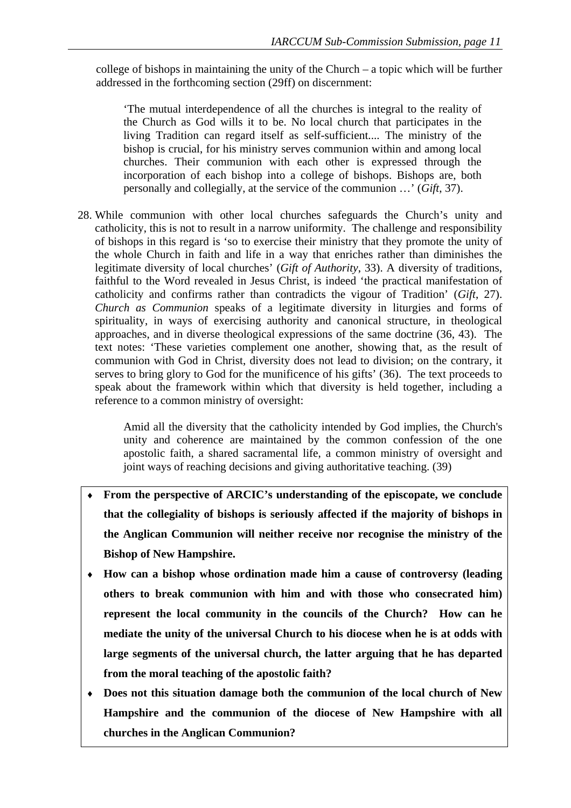college of bishops in maintaining the unity of the Church – a topic which will be further addressed in the forthcoming section (29ff) on discernment:

'The mutual interdependence of all the churches is integral to the reality of the Church as God wills it to be. No local church that participates in the living Tradition can regard itself as self-sufficient.... The ministry of the bishop is crucial, for his ministry serves communion within and among local churches. Their communion with each other is expressed through the incorporation of each bishop into a college of bishops. Bishops are, both personally and collegially, at the service of the communion …' (*Gift*, 37).

28. While communion with other local churches safeguards the Church's unity and catholicity, this is not to result in a narrow uniformity. The challenge and responsibility of bishops in this regard is 'so to exercise their ministry that they promote the unity of the whole Church in faith and life in a way that enriches rather than diminishes the legitimate diversity of local churches' (*Gift of Authority*, 33). A diversity of traditions, faithful to the Word revealed in Jesus Christ, is indeed 'the practical manifestation of catholicity and confirms rather than contradicts the vigour of Tradition' (*Gift*, 27). *Church as Communion* speaks of a legitimate diversity in liturgies and forms of spirituality, in ways of exercising authority and canonical structure, in theological approaches, and in diverse theological expressions of the same doctrine (36, 43). The text notes: 'These varieties complement one another, showing that, as the result of communion with God in Christ, diversity does not lead to division; on the contrary, it serves to bring glory to God for the munificence of his gifts' (36). The text proceeds to speak about the framework within which that diversity is held together, including a reference to a common ministry of oversight:

> Amid all the diversity that the catholicity intended by God implies, the Church's unity and coherence are maintained by the common confession of the one apostolic faith, a shared sacramental life, a common ministry of oversight and joint ways of reaching decisions and giving authoritative teaching. (39)

- ♦ **From the perspective of ARCIC's understanding of the episcopate, we conclude that the collegiality of bishops is seriously affected if the majority of bishops in the Anglican Communion will neither receive nor recognise the ministry of the Bishop of New Hampshire.**
- ♦ **How can a bishop whose ordination made him a cause of controversy (leading others to break communion with him and with those who consecrated him) represent the local community in the councils of the Church? How can he mediate the unity of the universal Church to his diocese when he is at odds with large segments of the universal church, the latter arguing that he has departed from the moral teaching of the apostolic faith?**
- ♦ **Does not this situation damage both the communion of the local church of New Hampshire and the communion of the diocese of New Hampshire with all churches in the Anglican Communion?**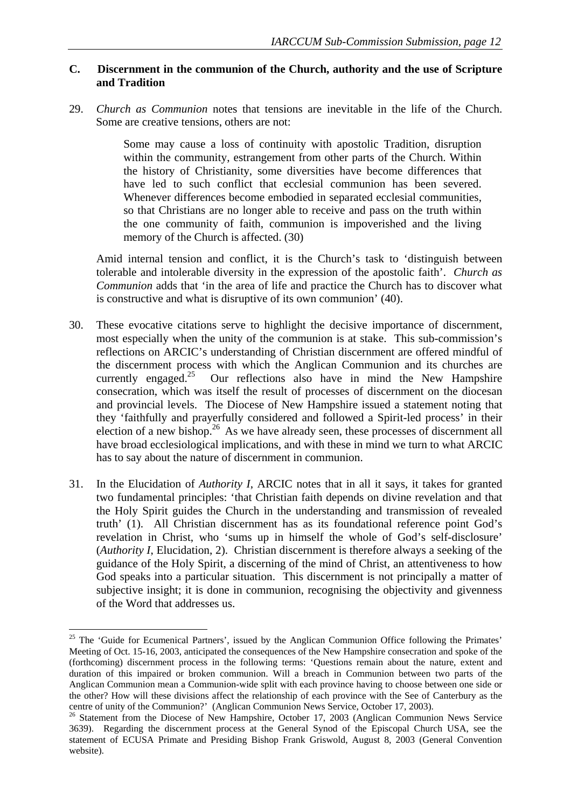#### **C. Discernment in the communion of the Church, authority and the use of Scripture and Tradition**

29. *Church as Communion* notes that tensions are inevitable in the life of the Church. Some are creative tensions, others are not:

> Some may cause a loss of continuity with apostolic Tradition, disruption within the community, estrangement from other parts of the Church. Within the history of Christianity, some diversities have become differences that have led to such conflict that ecclesial communion has been severed. Whenever differences become embodied in separated ecclesial communities, so that Christians are no longer able to receive and pass on the truth within the one community of faith, communion is impoverished and the living memory of the Church is affected. (30)

Amid internal tension and conflict, it is the Church's task to 'distinguish between tolerable and intolerable diversity in the expression of the apostolic faith'. *Church as Communion* adds that 'in the area of life and practice the Church has to discover what is constructive and what is disruptive of its own communion' (40).

- 30. These evocative citations serve to highlight the decisive importance of discernment, most especially when the unity of the communion is at stake. This sub-commission's reflections on ARCIC's understanding of Christian discernment are offered mindful of the discernment process with which the Anglican Communion and its churches are currently engaged.<sup>25</sup> Our reflections also have in mind the New Hampshire consecration, which was itself the result of processes of discernment on the diocesan and provincial levels. The Diocese of New Hampshire issued a statement noting that they 'faithfully and prayerfully considered and followed a Spirit-led process' in their election of a new bishop.<sup>26</sup> As we have already seen, these processes of discernment all have broad ecclesiological implications, and with these in mind we turn to what ARCIC has to say about the nature of discernment in communion.
- 31. In the Elucidation of *Authority I*, ARCIC notes that in all it says, it takes for granted two fundamental principles: 'that Christian faith depends on divine revelation and that the Holy Spirit guides the Church in the understanding and transmission of revealed truth' (1). All Christian discernment has as its foundational reference point God's revelation in Christ, who 'sums up in himself the whole of God's self-disclosure' (*Authority I*, Elucidation, 2). Christian discernment is therefore always a seeking of the guidance of the Holy Spirit, a discerning of the mind of Christ, an attentiveness to how God speaks into a particular situation. This discernment is not principally a matter of subjective insight; it is done in communion, recognising the objectivity and givenness of the Word that addresses us.

<sup>&</sup>lt;sup>25</sup> The 'Guide for Ecumenical Partners', issued by the Anglican Communion Office following the Primates' Meeting of Oct. 15-16, 2003, anticipated the consequences of the New Hampshire consecration and spoke of the (forthcoming) discernment process in the following terms: 'Questions remain about the nature, extent and duration of this impaired or broken communion. Will a breach in Communion between two parts of the Anglican Communion mean a Communion-wide split with each province having to choose between one side or the other? How will these divisions affect the relationship of each province with the See of Canterbury as the centre of unity of the Communion?' (Anglican Communion News Service, October 17, 2003).

<sup>&</sup>lt;sup>26</sup> Statement from the Diocese of New Hampshire, October 17, 2003 (Anglican Communion News Service 3639). Regarding the discernment process at the General Synod of the Episcopal Church USA, see the statement of ECUSA Primate and Presiding Bishop Frank Griswold, August 8, 2003 (General Convention website).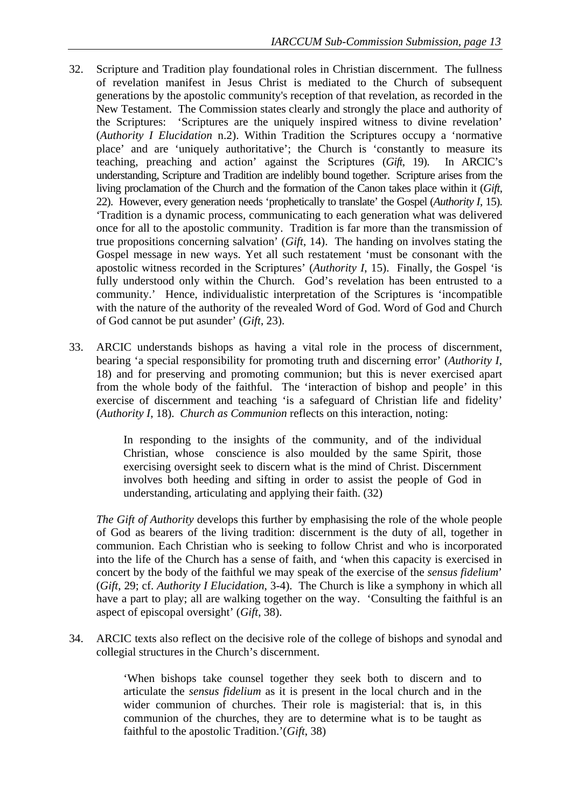- 32. Scripture and Tradition play foundational roles in Christian discernment. The fullness of revelation manifest in Jesus Christ is mediated to the Church of subsequent generations by the apostolic community's reception of that revelation, as recorded in the New Testament. The Commission states clearly and strongly the place and authority of the Scriptures: 'Scriptures are the uniquely inspired witness to divine revelation' (*Authority I Elucidation* n.2). Within Tradition the Scriptures occupy a 'normative place' and are 'uniquely authoritative'; the Church is 'constantly to measure its teaching, preaching and action' against the Scriptures (*Gift*, 19). In ARCIC's understanding, Scripture and Tradition are indelibly bound together. Scripture arises from the living proclamation of the Church and the formation of the Canon takes place within it (*Gift*, 22). However, every generation needs 'prophetically to translate' the Gospel (*Authority I*, 15). 'Tradition is a dynamic process, communicating to each generation what was delivered once for all to the apostolic community. Tradition is far more than the transmission of true propositions concerning salvation' (*Gift*, 14). The handing on involves stating the Gospel message in new ways. Yet all such restatement 'must be consonant with the apostolic witness recorded in the Scriptures' (*Authority I*, 15). Finally, the Gospel 'is fully understood only within the Church. God's revelation has been entrusted to a community.' Hence, individualistic interpretation of the Scriptures is 'incompatible with the nature of the authority of the revealed Word of God. Word of God and Church of God cannot be put asunder' (*Gift*, 23).
- 33. ARCIC understands bishops as having a vital role in the process of discernment, bearing 'a special responsibility for promoting truth and discerning error' (*Authority I*, 18) and for preserving and promoting communion; but this is never exercised apart from the whole body of the faithful. The 'interaction of bishop and people' in this exercise of discernment and teaching 'is a safeguard of Christian life and fidelity' (*Authority I*, 18). *Church as Communion* reflects on this interaction, noting:

In responding to the insights of the community, and of the individual Christian, whose conscience is also moulded by the same Spirit, those exercising oversight seek to discern what is the mind of Christ. Discernment involves both heeding and sifting in order to assist the people of God in understanding, articulating and applying their faith. (32)

*The Gift of Authority* develops this further by emphasising the role of the whole people of God as bearers of the living tradition: discernment is the duty of all, together in communion. Each Christian who is seeking to follow Christ and who is incorporated into the life of the Church has a sense of faith, and 'when this capacity is exercised in concert by the body of the faithful we may speak of the exercise of the *sensus fidelium*' (*Gift*, 29; cf. *Authority I Elucidation*, 3-4). The Church is like a symphony in which all have a part to play; all are walking together on the way. 'Consulting the faithful is an aspect of episcopal oversight' (*Gift*, 38).

34. ARCIC texts also reflect on the decisive role of the college of bishops and synodal and collegial structures in the Church's discernment.

> 'When bishops take counsel together they seek both to discern and to articulate the *sensus fidelium* as it is present in the local church and in the wider communion of churches. Their role is magisterial: that is, in this communion of the churches, they are to determine what is to be taught as faithful to the apostolic Tradition.'(*Gift*, 38)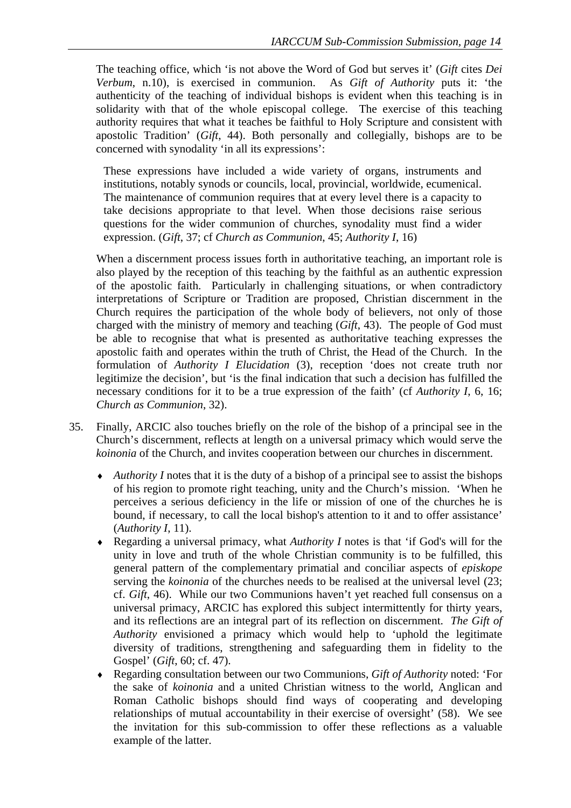The teaching office, which 'is not above the Word of God but serves it' (*Gift* cites *Dei Verbum*, n.10), is exercised in communion. As *Gift of Authority* puts it: 'the authenticity of the teaching of individual bishops is evident when this teaching is in solidarity with that of the whole episcopal college. The exercise of this teaching authority requires that what it teaches be faithful to Holy Scripture and consistent with apostolic Tradition' (*Gift*, 44). Both personally and collegially, bishops are to be concerned with synodality 'in all its expressions':

These expressions have included a wide variety of organs, instruments and institutions, notably synods or councils, local, provincial, worldwide, ecumenical. The maintenance of communion requires that at every level there is a capacity to take decisions appropriate to that level. When those decisions raise serious questions for the wider communion of churches, synodality must find a wider expression. (*Gift*, 37; cf *Church as Communion*, 45; *Authority I*, 16)

When a discernment process issues forth in authoritative teaching, an important role is also played by the reception of this teaching by the faithful as an authentic expression of the apostolic faith. Particularly in challenging situations, or when contradictory interpretations of Scripture or Tradition are proposed, Christian discernment in the Church requires the participation of the whole body of believers, not only of those charged with the ministry of memory and teaching (*Gift*, 43). The people of God must be able to recognise that what is presented as authoritative teaching expresses the apostolic faith and operates within the truth of Christ, the Head of the Church. In the formulation of *Authority I Elucidation* (3), reception 'does not create truth nor legitimize the decision', but 'is the final indication that such a decision has fulfilled the necessary conditions for it to be a true expression of the faith' (cf *Authority I*, 6, 16; *Church as Communion*, 32).

- 35. Finally, ARCIC also touches briefly on the role of the bishop of a principal see in the Church's discernment, reflects at length on a universal primacy which would serve the *koinonia* of the Church, and invites cooperation between our churches in discernment.
	- ♦ *Authority I* notes that it is the duty of a bishop of a principal see to assist the bishops of his region to promote right teaching, unity and the Church's mission. 'When he perceives a serious deficiency in the life or mission of one of the churches he is bound, if necessary, to call the local bishop's attention to it and to offer assistance' (*Authority I*, 11).
	- ♦ Regarding a universal primacy, what *Authority I* notes is that 'if God's will for the unity in love and truth of the whole Christian community is to be fulfilled, this general pattern of the complementary primatial and conciliar aspects of *episkope* serving the *koinonia* of the churches needs to be realised at the universal level (23; cf. *Gift*, 46). While our two Communions haven't yet reached full consensus on a universal primacy, ARCIC has explored this subject intermittently for thirty years, and its reflections are an integral part of its reflection on discernment. *The Gift of Authority* envisioned a primacy which would help to 'uphold the legitimate diversity of traditions, strengthening and safeguarding them in fidelity to the Gospel' (*Gift*, 60; cf. 47).
	- ♦ Regarding consultation between our two Communions, *Gift of Authority* noted: 'For the sake of *koinonia* and a united Christian witness to the world, Anglican and Roman Catholic bishops should find ways of cooperating and developing relationships of mutual accountability in their exercise of oversight' (58). We see the invitation for this sub-commission to offer these reflections as a valuable example of the latter.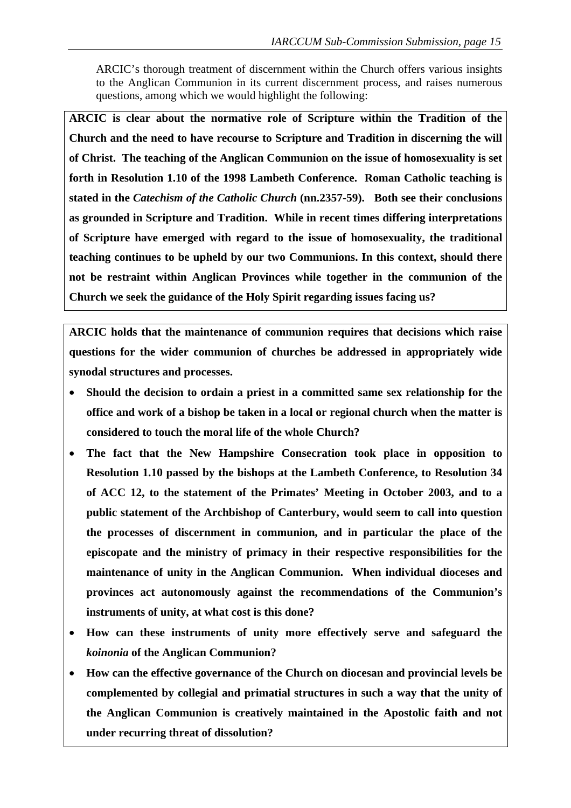ARCIC's thorough treatment of discernment within the Church offers various insights to the Anglican Communion in its current discernment process, and raises numerous questions, among which we would highlight the following:

**ARCIC is clear about the normative role of Scripture within the Tradition of the Church and the need to have recourse to Scripture and Tradition in discerning the will of Christ. The teaching of the Anglican Communion on the issue of homosexuality is set forth in Resolution 1.10 of the 1998 Lambeth Conference. Roman Catholic teaching is stated in the** *Catechism of the Catholic Church* **(nn.2357-59). Both see their conclusions as grounded in Scripture and Tradition. While in recent times differing interpretations of Scripture have emerged with regard to the issue of homosexuality, the traditional teaching continues to be upheld by our two Communions. In this context, should there not be restraint within Anglican Provinces while together in the communion of the Church we seek the guidance of the Holy Spirit regarding issues facing us?**

**ARCIC holds that the maintenance of communion requires that decisions which raise questions for the wider communion of churches be addressed in appropriately wide synodal structures and processes.** 

- **Should the decision to ordain a priest in a committed same sex relationship for the office and work of a bishop be taken in a local or regional church when the matter is considered to touch the moral life of the whole Church?**
- **The fact that the New Hampshire Consecration took place in opposition to Resolution 1.10 passed by the bishops at the Lambeth Conference, to Resolution 34 of ACC 12, to the statement of the Primates' Meeting in October 2003, and to a public statement of the Archbishop of Canterbury, would seem to call into question the processes of discernment in communion, and in particular the place of the episcopate and the ministry of primacy in their respective responsibilities for the maintenance of unity in the Anglican Communion. When individual dioceses and provinces act autonomously against the recommendations of the Communion's instruments of unity, at what cost is this done?**
- **How can these instruments of unity more effectively serve and safeguard the**  *koinonia* **of the Anglican Communion?**
- **How can the effective governance of the Church on diocesan and provincial levels be complemented by collegial and primatial structures in such a way that the unity of the Anglican Communion is creatively maintained in the Apostolic faith and not under recurring threat of dissolution?**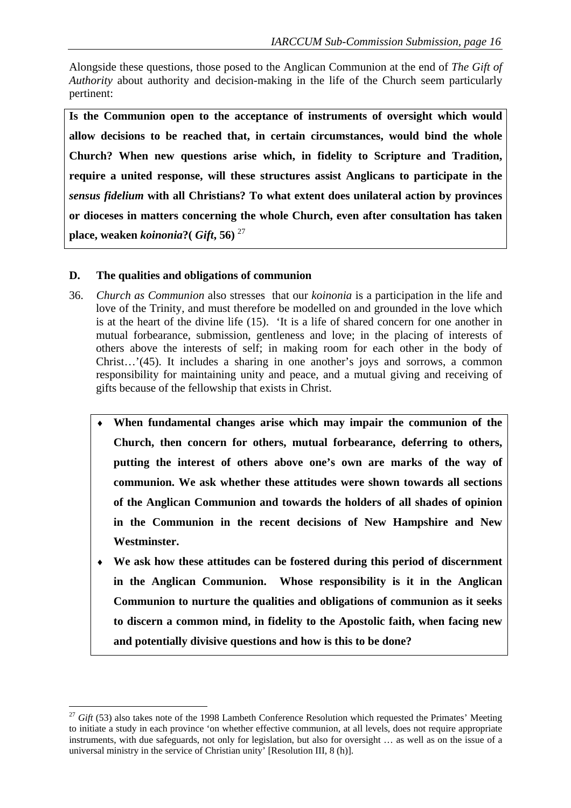Alongside these questions, those posed to the Anglican Communion at the end of *The Gift of Authority* about authority and decision-making in the life of the Church seem particularly pertinent:

**Is the Communion open to the acceptance of instruments of oversight which would allow decisions to be reached that, in certain circumstances, would bind the whole Church? When new questions arise which, in fidelity to Scripture and Tradition, require a united response, will these structures assist Anglicans to participate in the**  *sensus fidelium* **with all Christians? To what extent does unilateral action by provinces or dioceses in matters concerning the whole Church, even after consultation has taken place, weaken** *koinonia***?(** *Gift***, 56)** <sup>27</sup>

#### **D. The qualities and obligations of communion**

- 36. *Church as Communion* also stresses that our *koinonia* is a participation in the life and love of the Trinity, and must therefore be modelled on and grounded in the love which is at the heart of the divine life (15). 'It is a life of shared concern for one another in mutual forbearance, submission, gentleness and love; in the placing of interests of others above the interests of self; in making room for each other in the body of Christ…'(45). It includes a sharing in one another's joys and sorrows, a common responsibility for maintaining unity and peace, and a mutual giving and receiving of gifts because of the fellowship that exists in Christ.
	- When fundamental changes arise which may impair the communion of the **Church, then concern for others, mutual forbearance, deferring to others, putting the interest of others above one's own are marks of the way of communion. We ask whether these attitudes were shown towards all sections of the Anglican Communion and towards the holders of all shades of opinion in the Communion in the recent decisions of New Hampshire and New Westminster.**
	- ♦ **We ask how these attitudes can be fostered during this period of discernment in the Anglican Communion. Whose responsibility is it in the Anglican Communion to nurture the qualities and obligations of communion as it seeks to discern a common mind, in fidelity to the Apostolic faith, when facing new and potentially divisive questions and how is this to be done?**

<sup>&</sup>lt;sup>27</sup> *Gift* (53) also takes note of the 1998 Lambeth Conference Resolution which requested the Primates' Meeting to initiate a study in each province 'on whether effective communion, at all levels, does not require appropriate instruments, with due safeguards, not only for legislation, but also for oversight … as well as on the issue of a universal ministry in the service of Christian unity' [Resolution III, 8 (h)].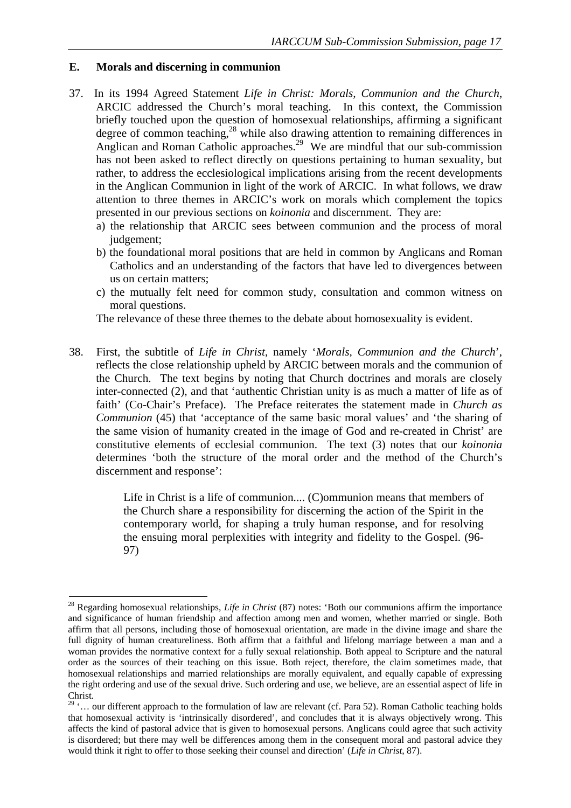#### **E. Morals and discerning in communion**

- 37. In its 1994 Agreed Statement *Life in Christ: Morals, Communion and the Church*, ARCIC addressed the Church's moral teaching. In this context, the Commission briefly touched upon the question of homosexual relationships, affirming a significant degree of common teaching, $^{28}$  while also drawing attention to remaining differences in Anglican and Roman Catholic approaches.<sup>29</sup> We are mindful that our sub-commission has not been asked to reflect directly on questions pertaining to human sexuality, but rather, to address the ecclesiological implications arising from the recent developments in the Anglican Communion in light of the work of ARCIC. In what follows, we draw attention to three themes in ARCIC's work on morals which complement the topics presented in our previous sections on *koinonia* and discernment. They are:
	- a) the relationship that ARCIC sees between communion and the process of moral judgement;
	- b) the foundational moral positions that are held in common by Anglicans and Roman Catholics and an understanding of the factors that have led to divergences between us on certain matters;
	- c) the mutually felt need for common study, consultation and common witness on moral questions.

The relevance of these three themes to the debate about homosexuality is evident.

38. First, the subtitle of *Life in Christ*, namely '*Morals, Communion and the Church*', reflects the close relationship upheld by ARCIC between morals and the communion of the Church. The text begins by noting that Church doctrines and morals are closely inter-connected (2), and that 'authentic Christian unity is as much a matter of life as of faith' (Co-Chair's Preface). The Preface reiterates the statement made in *Church as Communion* (45) that 'acceptance of the same basic moral values' and 'the sharing of the same vision of humanity created in the image of God and re-created in Christ' are constitutive elements of ecclesial communion. The text (3) notes that our *koinonia* determines 'both the structure of the moral order and the method of the Church's discernment and response':

> Life in Christ is a life of communion.... (C)ommunion means that members of the Church share a responsibility for discerning the action of the Spirit in the contemporary world, for shaping a truly human response, and for resolving the ensuing moral perplexities with integrity and fidelity to the Gospel. (96- 97)

 $\overline{a}$ 28 Regarding homosexual relationships, *Life in Christ* (87) notes: 'Both our communions affirm the importance and significance of human friendship and affection among men and women, whether married or single. Both affirm that all persons, including those of homosexual orientation, are made in the divine image and share the full dignity of human creatureliness. Both affirm that a faithful and lifelong marriage between a man and a woman provides the normative context for a fully sexual relationship. Both appeal to Scripture and the natural order as the sources of their teaching on this issue. Both reject, therefore, the claim sometimes made, that homosexual relationships and married relationships are morally equivalent, and equally capable of expressing the right ordering and use of the sexual drive. Such ordering and use, we believe, are an essential aspect of life in Christ.

<sup>&</sup>lt;sup>29</sup> '... our different approach to the formulation of law are relevant (cf. Para 52). Roman Catholic teaching holds that homosexual activity is 'intrinsically disordered', and concludes that it is always objectively wrong. This affects the kind of pastoral advice that is given to homosexual persons. Anglicans could agree that such activity is disordered; but there may well be differences among them in the consequent moral and pastoral advice they would think it right to offer to those seeking their counsel and direction' (*Life in Christ*, 87).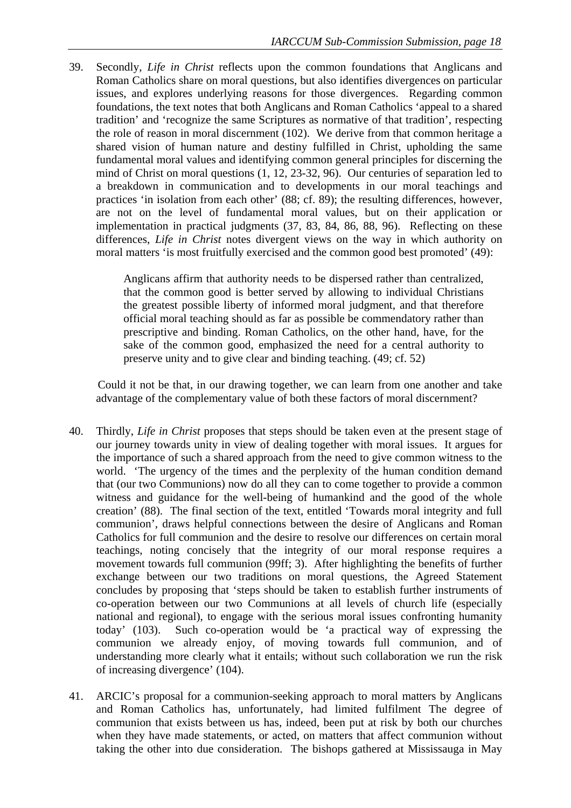39. Secondly, *Life in Christ* reflects upon the common foundations that Anglicans and Roman Catholics share on moral questions, but also identifies divergences on particular issues, and explores underlying reasons for those divergences. Regarding common foundations, the text notes that both Anglicans and Roman Catholics 'appeal to a shared tradition' and 'recognize the same Scriptures as normative of that tradition', respecting the role of reason in moral discernment (102). We derive from that common heritage a shared vision of human nature and destiny fulfilled in Christ, upholding the same fundamental moral values and identifying common general principles for discerning the mind of Christ on moral questions (1, 12, 23-32, 96). Our centuries of separation led to a breakdown in communication and to developments in our moral teachings and practices 'in isolation from each other' (88; cf. 89); the resulting differences, however, are not on the level of fundamental moral values, but on their application or implementation in practical judgments (37, 83, 84, 86, 88, 96). Reflecting on these differences, *Life in Christ* notes divergent views on the way in which authority on moral matters 'is most fruitfully exercised and the common good best promoted' (49):

> Anglicans affirm that authority needs to be dispersed rather than centralized, that the common good is better served by allowing to individual Christians the greatest possible liberty of informed moral judgment, and that therefore official moral teaching should as far as possible be commendatory rather than prescriptive and binding. Roman Catholics, on the other hand, have, for the sake of the common good, emphasized the need for a central authority to preserve unity and to give clear and binding teaching. (49; cf. 52)

 Could it not be that, in our drawing together, we can learn from one another and take advantage of the complementary value of both these factors of moral discernment?

- 40. Thirdly, *Life in Christ* proposes that steps should be taken even at the present stage of our journey towards unity in view of dealing together with moral issues. It argues for the importance of such a shared approach from the need to give common witness to the world. 'The urgency of the times and the perplexity of the human condition demand that (our two Communions) now do all they can to come together to provide a common witness and guidance for the well-being of humankind and the good of the whole creation' (88). The final section of the text, entitled 'Towards moral integrity and full communion', draws helpful connections between the desire of Anglicans and Roman Catholics for full communion and the desire to resolve our differences on certain moral teachings, noting concisely that the integrity of our moral response requires a movement towards full communion (99ff; 3). After highlighting the benefits of further exchange between our two traditions on moral questions, the Agreed Statement concludes by proposing that 'steps should be taken to establish further instruments of co-operation between our two Communions at all levels of church life (especially national and regional), to engage with the serious moral issues confronting humanity today' (103). Such co-operation would be 'a practical way of expressing the communion we already enjoy, of moving towards full communion, and of understanding more clearly what it entails; without such collaboration we run the risk of increasing divergence' (104).
- 41. ARCIC's proposal for a communion-seeking approach to moral matters by Anglicans and Roman Catholics has, unfortunately, had limited fulfilment The degree of communion that exists between us has, indeed, been put at risk by both our churches when they have made statements, or acted, on matters that affect communion without taking the other into due consideration. The bishops gathered at Mississauga in May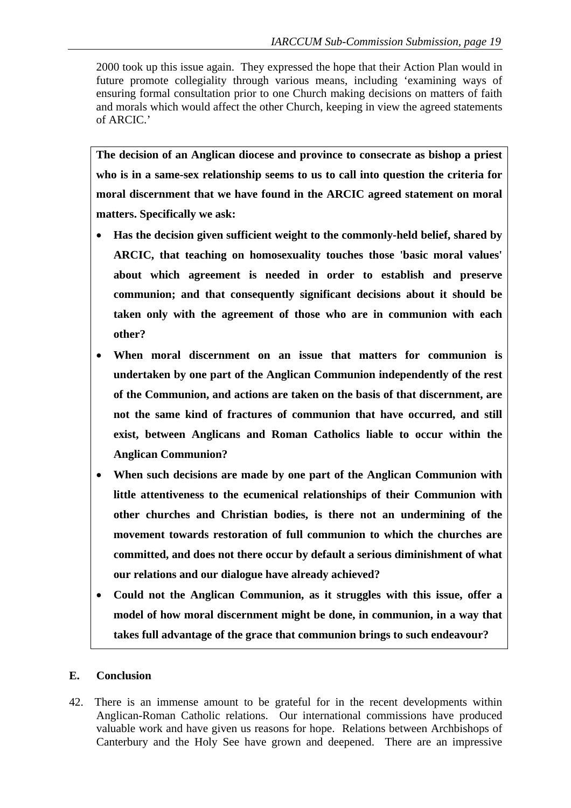2000 took up this issue again. They expressed the hope that their Action Plan would in future promote collegiality through various means, including 'examining ways of ensuring formal consultation prior to one Church making decisions on matters of faith and morals which would affect the other Church, keeping in view the agreed statements of ARCIC.'

**The decision of an Anglican diocese and province to consecrate as bishop a priest who is in a same-sex relationship seems to us to call into question the criteria for moral discernment that we have found in the ARCIC agreed statement on moral matters. Specifically we ask:**

- **Has the decision given sufficient weight to the commonly-held belief, shared by ARCIC, that teaching on homosexuality touches those 'basic moral values' about which agreement is needed in order to establish and preserve communion; and that consequently significant decisions about it should be taken only with the agreement of those who are in communion with each other?**
- **When moral discernment on an issue that matters for communion is undertaken by one part of the Anglican Communion independently of the rest of the Communion, and actions are taken on the basis of that discernment, are not the same kind of fractures of communion that have occurred, and still exist, between Anglicans and Roman Catholics liable to occur within the Anglican Communion?**
- **When such decisions are made by one part of the Anglican Communion with little attentiveness to the ecumenical relationships of their Communion with other churches and Christian bodies, is there not an undermining of the movement towards restoration of full communion to which the churches are committed, and does not there occur by default a serious diminishment of what our relations and our dialogue have already achieved?**
- **Could not the Anglican Communion, as it struggles with this issue, offer a model of how moral discernment might be done, in communion, in a way that takes full advantage of the grace that communion brings to such endeavour?**

#### **E. Conclusion**

42. There is an immense amount to be grateful for in the recent developments within Anglican-Roman Catholic relations. Our international commissions have produced valuable work and have given us reasons for hope. Relations between Archbishops of Canterbury and the Holy See have grown and deepened. There are an impressive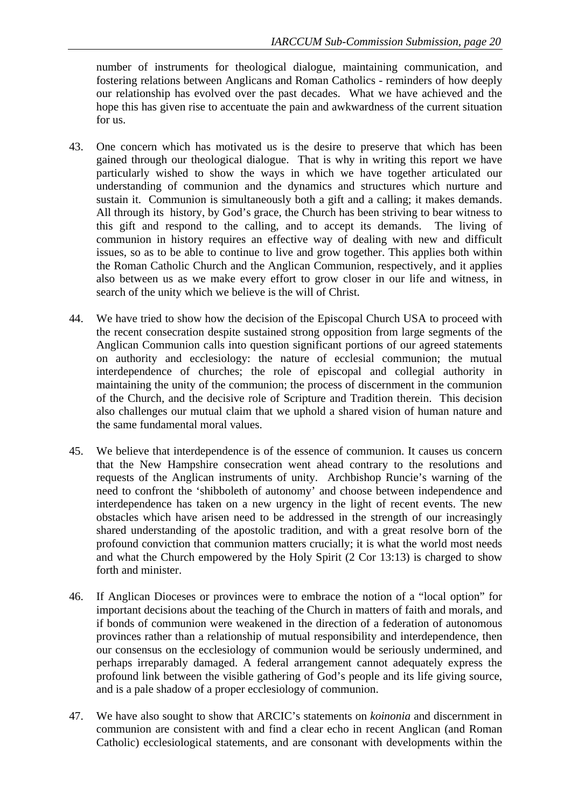number of instruments for theological dialogue, maintaining communication, and fostering relations between Anglicans and Roman Catholics - reminders of how deeply our relationship has evolved over the past decades. What we have achieved and the hope this has given rise to accentuate the pain and awkwardness of the current situation for us.

- 43. One concern which has motivated us is the desire to preserve that which has been gained through our theological dialogue. That is why in writing this report we have particularly wished to show the ways in which we have together articulated our understanding of communion and the dynamics and structures which nurture and sustain it. Communion is simultaneously both a gift and a calling; it makes demands. All through its history, by God's grace, the Church has been striving to bear witness to this gift and respond to the calling, and to accept its demands. The living of communion in history requires an effective way of dealing with new and difficult issues, so as to be able to continue to live and grow together. This applies both within the Roman Catholic Church and the Anglican Communion, respectively, and it applies also between us as we make every effort to grow closer in our life and witness, in search of the unity which we believe is the will of Christ.
- 44. We have tried to show how the decision of the Episcopal Church USA to proceed with the recent consecration despite sustained strong opposition from large segments of the Anglican Communion calls into question significant portions of our agreed statements on authority and ecclesiology: the nature of ecclesial communion; the mutual interdependence of churches; the role of episcopal and collegial authority in maintaining the unity of the communion; the process of discernment in the communion of the Church, and the decisive role of Scripture and Tradition therein. This decision also challenges our mutual claim that we uphold a shared vision of human nature and the same fundamental moral values.
- 45. We believe that interdependence is of the essence of communion. It causes us concern that the New Hampshire consecration went ahead contrary to the resolutions and requests of the Anglican instruments of unity. Archbishop Runcie's warning of the need to confront the 'shibboleth of autonomy' and choose between independence and interdependence has taken on a new urgency in the light of recent events. The new obstacles which have arisen need to be addressed in the strength of our increasingly shared understanding of the apostolic tradition, and with a great resolve born of the profound conviction that communion matters crucially; it is what the world most needs and what the Church empowered by the Holy Spirit (2 Cor 13:13) is charged to show forth and minister.
- 46. If Anglican Dioceses or provinces were to embrace the notion of a "local option" for important decisions about the teaching of the Church in matters of faith and morals, and if bonds of communion were weakened in the direction of a federation of autonomous provinces rather than a relationship of mutual responsibility and interdependence, then our consensus on the ecclesiology of communion would be seriously undermined, and perhaps irreparably damaged. A federal arrangement cannot adequately express the profound link between the visible gathering of God's people and its life giving source, and is a pale shadow of a proper ecclesiology of communion.
- 47. We have also sought to show that ARCIC's statements on *koinonia* and discernment in communion are consistent with and find a clear echo in recent Anglican (and Roman Catholic) ecclesiological statements, and are consonant with developments within the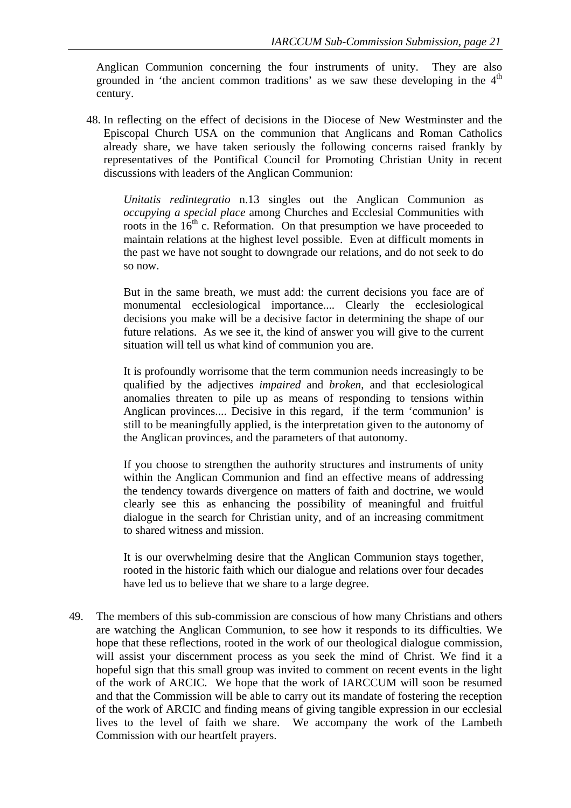Anglican Communion concerning the four instruments of unity. They are also grounded in 'the ancient common traditions' as we saw these developing in the  $4<sup>th</sup>$ century.

48. In reflecting on the effect of decisions in the Diocese of New Westminster and the Episcopal Church USA on the communion that Anglicans and Roman Catholics already share, we have taken seriously the following concerns raised frankly by representatives of the Pontifical Council for Promoting Christian Unity in recent discussions with leaders of the Anglican Communion:

*Unitatis redintegratio* n.13 singles out the Anglican Communion as *occupying a special place* among Churches and Ecclesial Communities with roots in the  $16<sup>th</sup>$  c. Reformation. On that presumption we have proceeded to maintain relations at the highest level possible. Even at difficult moments in the past we have not sought to downgrade our relations, and do not seek to do so now.

But in the same breath, we must add: the current decisions you face are of monumental ecclesiological importance.... Clearly the ecclesiological decisions you make will be a decisive factor in determining the shape of our future relations. As we see it, the kind of answer you will give to the current situation will tell us what kind of communion you are.

It is profoundly worrisome that the term communion needs increasingly to be qualified by the adjectives *impaired* and *broken*, and that ecclesiological anomalies threaten to pile up as means of responding to tensions within Anglican provinces.... Decisive in this regard, if the term 'communion' is still to be meaningfully applied, is the interpretation given to the autonomy of the Anglican provinces, and the parameters of that autonomy.

If you choose to strengthen the authority structures and instruments of unity within the Anglican Communion and find an effective means of addressing the tendency towards divergence on matters of faith and doctrine, we would clearly see this as enhancing the possibility of meaningful and fruitful dialogue in the search for Christian unity, and of an increasing commitment to shared witness and mission.

It is our overwhelming desire that the Anglican Communion stays together, rooted in the historic faith which our dialogue and relations over four decades have led us to believe that we share to a large degree.

49. The members of this sub-commission are conscious of how many Christians and others are watching the Anglican Communion, to see how it responds to its difficulties. We hope that these reflections, rooted in the work of our theological dialogue commission, will assist your discernment process as you seek the mind of Christ. We find it a hopeful sign that this small group was invited to comment on recent events in the light of the work of ARCIC. We hope that the work of IARCCUM will soon be resumed and that the Commission will be able to carry out its mandate of fostering the reception of the work of ARCIC and finding means of giving tangible expression in our ecclesial lives to the level of faith we share. We accompany the work of the Lambeth Commission with our heartfelt prayers.